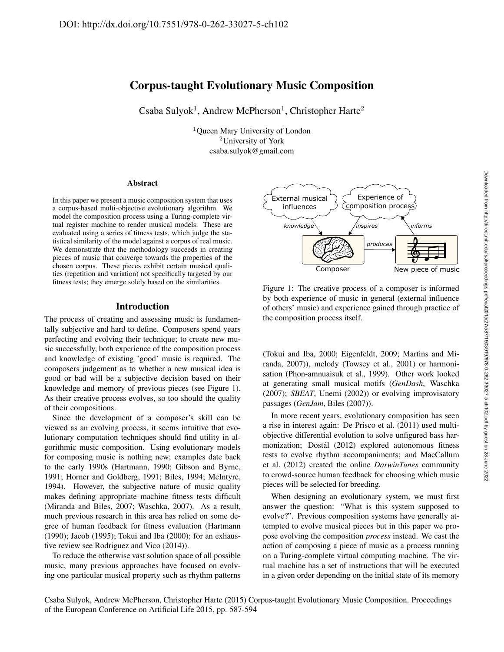# Corpus-taught Evolutionary Music Composition

Csaba Sulyok<sup>1</sup>, Andrew McPherson<sup>1</sup>, Christopher Harte<sup>2</sup>

<sup>1</sup>Queen Mary University of London <sup>2</sup>University of York csaba.sulyok@gmail.com

#### Abstract

In this paper we present a music composition system that uses a corpus-based multi-objective evolutionary algorithm. We model the composition process using a Turing-complete virtual register machine to render musical models. These are evaluated using a series of fitness tests, which judge the statistical similarity of the model against a corpus of real music. We demonstrate that the methodology succeeds in creating pieces of music that converge towards the properties of the chosen corpus. These pieces exhibit certain musical qualities (repetition and variation) not specifically targeted by our fitness tests; they emerge solely based on the similarities.

### Introduction

The process of creating and assessing music is fundamentally subjective and hard to define. Composers spend years perfecting and evolving their technique; to create new music successfully, both experience of the composition process and knowledge of existing 'good' music is required. The composers judgement as to whether a new musical idea is good or bad will be a subjective decision based on their knowledge and memory of previous pieces (see Figure 1). As their creative process evolves, so too should the quality of their compositions.

Since the development of a composer's skill can be viewed as an evolving process, it seems intuitive that evolutionary computation techniques should find utility in algorithmic music composition. Using evolutionary models for composing music is nothing new; examples date back to the early 1990s (Hartmann, 1990; Gibson and Byrne, 1991; Horner and Goldberg, 1991; Biles, 1994; McIntyre, 1994). However, the subjective nature of music quality makes defining appropriate machine fitness tests difficult (Miranda and Biles, 2007; Waschka, 2007). As a result, much previous research in this area has relied on some degree of human feedback for fitness evaluation (Hartmann (1990); Jacob (1995); Tokui and Iba (2000); for an exhaustive review see Rodriguez and Vico (2014)).

To reduce the otherwise vast solution space of all possible music, many previous approaches have focused on evolving one particular musical property such as rhythm patterns



Figure 1: The creative process of a composer is informed by both experience of music in general (external influence of others' music) and experience gained through practice of the composition process itself.

(Tokui and Iba, 2000; Eigenfeldt, 2009; Martins and Miranda, 2007)), melody (Towsey et al., 2001) or harmonisation (Phon-amnuaisuk et al., 1999). Other work looked at generating small musical motifs (*GenDash*, Waschka (2007); *SBEAT*, Unemi (2002)) or evolving improvisatory passages (*GenJam*, Biles (2007)).

In more recent years, evolutionary composition has seen a rise in interest again: De Prisco et al. (2011) used multiobjective differential evolution to solve unfigured bass harmonization; Dostál (2012) explored autonomous fitness tests to evolve rhythm accompaniments; and MacCallum et al. (2012) created the online *DarwinTunes* community to crowd-source human feedback for choosing which music pieces will be selected for breeding.

When designing an evolutionary system, we must first answer the question: "What is this system supposed to evolve?". Previous composition systems have generally attempted to evolve musical pieces but in this paper we propose evolving the composition *process* instead. We cast the action of composing a piece of music as a process running on a Turing-complete virtual computing machine. The virtual machine has a set of instructions that will be executed in a given order depending on the initial state of its memory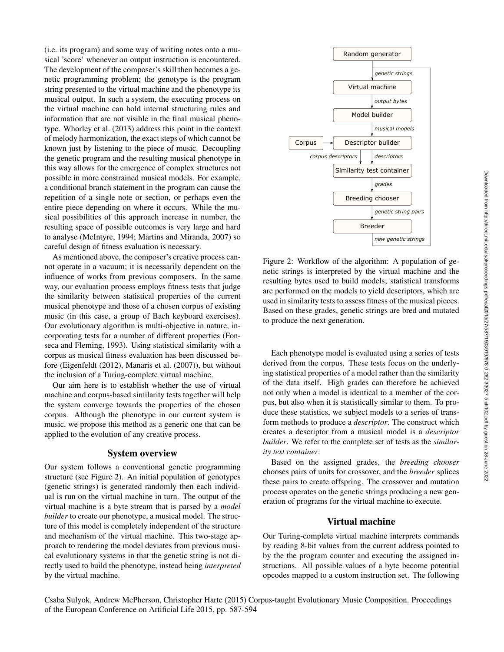(i.e. its program) and some way of writing notes onto a musical 'score' whenever an output instruction is encountered. The development of the composer's skill then becomes a genetic programming problem; the genotype is the program string presented to the virtual machine and the phenotype its musical output. In such a system, the executing process on the virtual machine can hold internal structuring rules and information that are not visible in the final musical phenotype. Whorley et al. (2013) address this point in the context of melody harmonization, the exact steps of which cannot be known just by listening to the piece of music. Decoupling the genetic program and the resulting musical phenotype in this way allows for the emergence of complex structures not possible in more constrained musical models. For example, a conditional branch statement in the program can cause the repetition of a single note or section, or perhaps even the entire piece depending on where it occurs. While the musical possibilities of this approach increase in number, the resulting space of possible outcomes is very large and hard to analyse (McIntyre, 1994; Martins and Miranda, 2007) so careful design of fitness evaluation is necessary.

As mentioned above, the composer's creative process cannot operate in a vacuum; it is necessarily dependent on the influence of works from previous composers. In the same way, our evaluation process employs fitness tests that judge the similarity between statistical properties of the current musical phenotype and those of a chosen corpus of existing music (in this case, a group of Bach keyboard exercises). Our evolutionary algorithm is multi-objective in nature, incorporating tests for a number of different properties (Fonseca and Fleming, 1993). Using statistical similarity with a corpus as musical fitness evaluation has been discussed before (Eigenfeldt (2012), Manaris et al. (2007)), but without the inclusion of a Turing-complete virtual machine. resulting space of possible outcomes is very large and hard the peace<br>to analyse (Mclatyoe, 1994; Martins and Miranda, 2007) so<br>
controll design of fitnesses with the interest and the secondary of the secondary outcomes c

Our aim here is to establish whether the use of virtual machine and corpus-based similarity tests together will help the system converge towards the properties of the chosen corpus. Although the phenotype in our current system is music, we propose this method as a generic one that can be applied to the evolution of any creative process.

### System overview

Our system follows a conventional genetic programming structure (see Figure 2). An initial population of genotypes (genetic strings) is generated randomly then each individual is run on the virtual machine in turn. The output of the virtual machine is a byte stream that is parsed by a *model builder* to create our phenotype, a musical model. The structure of this model is completely independent of the structure and mechanism of the virtual machine. This two-stage approach to rendering the model deviates from previous musical evolutionary systems in that the genetic string is not directly used to build the phenotype, instead being *interpreted*



Figure 2: Workflow of the algorithm: A population of genetic strings is interpreted by the virtual machine and the resulting bytes used to build models; statistical transforms are performed on the models to yield descriptors, which are used in similarity tests to assess fitness of the musical pieces. Based on these grades, genetic strings are bred and mutated to produce the next generation.

Each phenotype model is evaluated using a series of tests derived from the corpus. These tests focus on the underlying statistical properties of a model rather than the similarity of the data itself. High grades can therefore be achieved not only when a model is identical to a member of the corpus, but also when it is statistically similar to them. To produce these statistics, we subject models to a series of transform methods to produce a *descriptor*. The construct which creates a descriptor from a musical model is a *descriptor builder*. We refer to the complete set of tests as the *similarity test container*.

Based on the assigned grades, the *breeding chooser* chooses pairs of units for crossover, and the *breeder* splices these pairs to create offspring. The crossover and mutation process operates on the genetic strings producing a new generation of programs for the virtual machine to execute.

### Virtual machine

Our Turing-complete virtual machine interprets commands by reading 8-bit values from the current address pointed to by the the program counter and executing the assigned instructions. All possible values of a byte become potential opcodes mapped to a custom instruction set. The following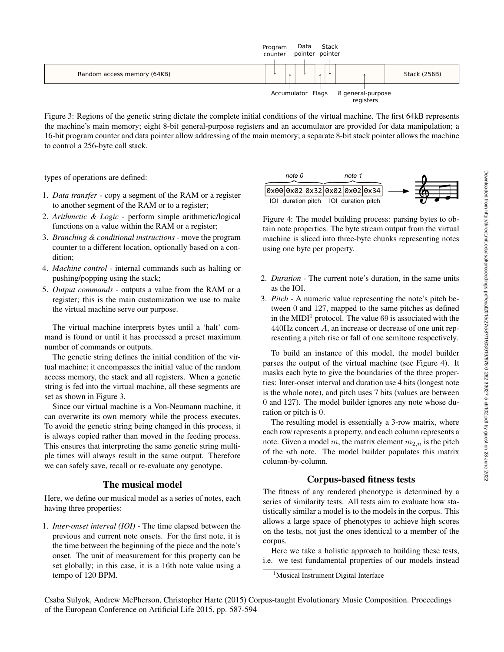

Figure 3: Regions of the genetic string dictate the complete initial conditions of the virtual machine. The first 64kB represents the machine's main memory; eight 8-bit general-purpose registers and an accumulator are provided for data manipulation; a 16-bit program counter and data pointer allow addressing of the main memory; a separate 8-bit stack pointer allows the machine to control a 256-byte call stack.

types of operations are defined:

- 1. *Data transfer* copy a segment of the RAM or a register to another segment of the RAM or to a register;
- 2. *Arithmetic & Logic* perform simple arithmetic/logical functions on a value within the RAM or a register;
- 3. *Branching & conditional instructions* move the program counter to a different location, optionally based on a condition;
- 4. *Machine control* internal commands such as halting or pushing/popping using the stack;
- 5. *Output commands* outputs a value from the RAM or a register; this is the main customization we use to make the virtual machine serve our purpose.

The virtual machine interprets bytes until a 'halt' command is found or until it has processed a preset maximum number of commands or outputs.

The genetic string defines the initial condition of the virtual machine; it encompasses the initial value of the random access memory, the stack and all registers. When a genetic string is fed into the virtual machine, all these segments are set as shown in Figure 3.

Since our virtual machine is a Von-Neumann machine, it can overwrite its own memory while the process executes. To avoid the genetic string being changed in this process, it is always copied rather than moved in the feeding process. This ensures that interpreting the same genetic string multiple times will always result in the same output. Therefore we can safely save, recall or re-evaluate any genotype. be a transies are defined.<br>
Do a transfer- copy a segurent of the RAM or a register<br>
Do another segment of the RAM or a register,<br> *ion absorbanceal*  $\frac{1}{2}$  parts and the mathematic de Legate perform simple arithmetic

# The musical model

Here, we define our musical model as a series of notes, each having three properties:

1. *Inter-onset interval (IOI)* - The time elapsed between the previous and current note onsets. For the first note, it is the time between the beginning of the piece and the note's onset. The unit of measurement for this property can be set globally; in this case, it is a 16th note value using a

| note 0 |  |  | note 1                                |  |                               |  |  |
|--------|--|--|---------------------------------------|--|-------------------------------|--|--|
|        |  |  |                                       |  | 0x00 0x02 0x32 0x02 0x02 0x34 |  |  |
|        |  |  | IOI duration pitch IOI duration pitch |  |                               |  |  |

Figure 4: The model building process: parsing bytes to obtain note properties. The byte stream output from the virtual machine is sliced into three-byte chunks representing notes using one byte per property.

- 2. *Duration* The current note's duration, in the same units as the IOI.
- 3. *Pitch* A numeric value representing the note's pitch between 0 and 127, mapped to the same pitches as defined in the MIDI<sup>1</sup> protocol. The value 69 is associated with the 440Hz concert A, an increase or decrease of one unit representing a pitch rise or fall of one semitone respectively.

To build an instance of this model, the model builder parses the output of the virtual machine (see Figure 4). It masks each byte to give the boundaries of the three properties: Inter-onset interval and duration use 4 bits (longest note is the whole note), and pitch uses 7 bits (values are between 0 and 127). The model builder ignores any note whose duration or pitch is 0.

The resulting model is essentially a 3-row matrix, where each row represents a property, and each column represents a note. Given a model m, the matrix element  $m_{2,n}$  is the pitch of the nth note. The model builder populates this matrix column-by-column.

# Corpus-based fitness tests

The fitness of any rendered phenotype is determined by a series of similarity tests. All tests aim to evaluate how statistically similar a model is to the models in the corpus. This allows a large space of phenotypes to achieve high scores on the tests, not just the ones identical to a member of the corpus.

Here we take a holistic approach to building these tests, i.e. we test fundamental properties of our models instead

<sup>1</sup>Musical Instrument Digital Interface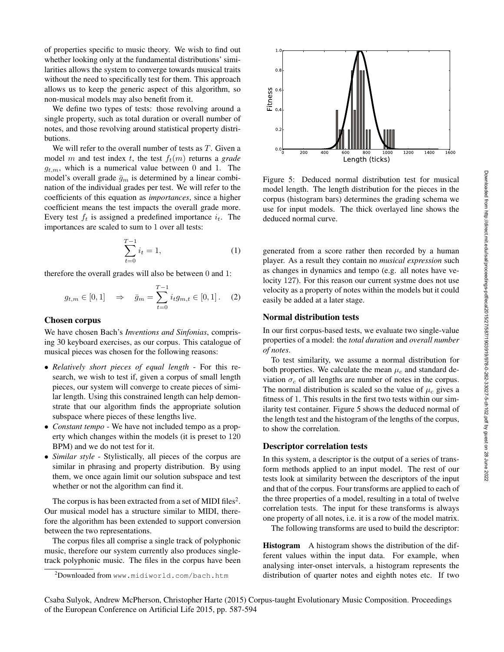of properties specific to music theory. We wish to find out whether looking only at the fundamental distributions' similarities allows the system to converge towards musical traits without the need to specifically test for them. This approach allows us to keep the generic aspect of this algorithm, so non-musical models may also benefit from it.

We define two types of tests: those revolving around a single property, such as total duration or overall number of notes, and those revolving around statistical property distributions.

We will refer to the overall number of tests as  $T$ . Given a model m and test index t, the test  $f_t(m)$  returns a *grade*  $q_{t,m}$ , which is a numerical value between 0 and 1. The model's overall grade  $\bar{g}_m$  is determined by a linear combination of the individual grades per test. We will refer to the coefficients of this equation as *importances*, since a higher coefficient means the test impacts the overall grade more. Every test  $f_t$  is assigned a predefined importance  $i_t$ . The importances are scaled to sum to 1 over all tests:

$$
\sum_{t=0}^{T-1} i_t = 1,\t\t(1)
$$

therefore the overall grades will also be between 0 and 1:

$$
g_{t,m} \in [0,1] \Rightarrow \bar{g}_m = \sum_{t=0}^{T-1} i_t g_{m,t} \in [0,1].
$$
 (2)

### Chosen corpus

We have chosen Bach's *Inventions and Sinfonias*, comprising 30 keyboard exercises, as our corpus. This catalogue of musical pieces was chosen for the following reasons:

- *Relatively short pieces of equal length* For this research, we wish to test if, given a corpus of small length pieces, our system will converge to create pieces of similar length. Using this constrained length can help demonstrate that our algorithm finds the appropriate solution subspace where pieces of these lengths live.
- *Constant tempo* We have not included tempo as a property which changes within the models (it is preset to 120 BPM) and we do not test for it.
- *Similar style* Stylistically, all pieces of the corpus are similar in phrasing and property distribution. By using them, we once again limit our solution subspace and test whether or not the algorithm can find it.

The corpus is has been extracted from a set of MIDI files<sup>2</sup>. Our musical model has a structure similar to MIDI, therefore the algorithm has been extended to support conversion between the two representations.

The corpus files all comprise a single track of polyphonic music, therefore our system currently also produces singletrack polyphonic music. The files in the corpus have been



Figure 5: Deduced normal distribution test for musical model length. The length distribution for the pieces in the corpus (histogram bars) determines the grading schema we use for input models. The thick overlayed line shows the deduced normal curve.

generated from a score rather then recorded by a human player. As a result they contain no *musical expression* such as changes in dynamics and tempo (e.g. all notes have velocity 127). For this reason our current systme does not use velocity as a property of notes within the models but it could easily be added at a later stage.

## Normal distribution tests

In our first corpus-based tests, we evaluate two single-value properties of a model: the *total duration* and *overall number of notes*.

To test similarity, we assume a normal distribution for both properties. We calculate the mean  $\mu_c$  and standard deviation  $\sigma_c$  of all lengths are number of notes in the corpus. The normal distribution is scaled so the value of  $\mu_c$  gives a fitness of 1. This results in the first two tests within our similarity test container. Figure 5 shows the deduced normal of the length test and the histogram of the lengths of the corpus, to show the correlation.

#### Descriptor correlation tests

In this system, a descriptor is the output of a series of transform methods applied to an input model. The rest of our tests look at similarity between the descriptors of the input and that of the corpus. Four transforms are applied to each of the three properties of a model, resulting in a total of twelve correlation tests. The input for these transforms is always one property of all notes, i.e. it is a row of the model matrix.

The following transforms are used to build the descriptor:

Histogram A histogram shows the distribution of the different values within the input data. For example, when analysing inter-onset intervals, a histogram represents the distribution of quarter notes and eighth notes etc. If two

 $^{2}$ Downloaded from www.midiworld.com/bach.htm

Csaba Sulyok, Andrew McPherson, Christopher Harte (2015) Corpus-taught Evolutionary Music Composition. Proceedings of the European Conference on Artificial Life 2015, pp. 587-594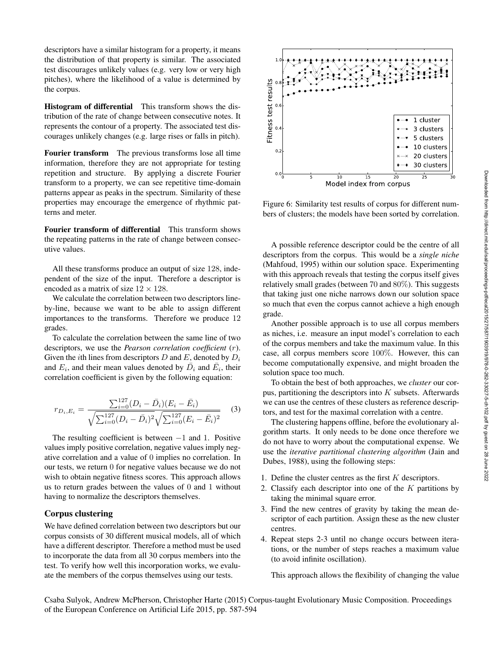descriptors have a similar histogram for a property, it means the distribution of that property is similar. The associated test discourages unlikely values (e.g. very low or very high pitches), where the likelihood of a value is determined by the corpus.

Histogram of differential This transform shows the distribution of the rate of change between consecutive notes. It represents the contour of a property. The associated test discourages unlikely changes (e.g. large rises or falls in pitch).

Fourier transform The previous transforms lose all time information, therefore they are not appropriate for testing repetition and structure. By applying a discrete Fourier transform to a property, we can see repetitive time-domain patterns appear as peaks in the spectrum. Similarity of these properties may encourage the emergence of rhythmic patterns and meter.

Fourier transform of differential This transform shows the repeating patterns in the rate of change between consecutive values.

All these transforms produce an output of size 128, independent of the size of the input. Therefore a descriptor is encoded as a matrix of size  $12 \times 128$ .

We calculate the correlation between two descriptors lineby-line, because we want to be able to assign different importances to the transforms. Therefore we produce 12 grades.

To calculate the correlation between the same line of two descriptors, we use the *Pearson correlation coefficient* (r). Given the *i*th lines from descriptors  $D$  and  $E$ , denoted by  $D_i$ and  $E_i$ , and their mean values denoted by  $\bar{D}_i$  and  $\bar{E}_i$ , their correlation coefficient is given by the following equation:

$$
r_{D_i, E_i} = \frac{\sum_{i=0}^{127} (D_i - \bar{D}_i)(E_i - \bar{E}_i)}{\sqrt{\sum_{i=0}^{127} (D_i - \bar{D}_i)^2} \sqrt{\sum_{i=0}^{127} (E_i - \bar{E}_i)^2}}
$$
(3)

The resulting coefficient is between  $-1$  and 1. Positive values imply positive correlation, negative values imply negative correlation and a value of 0 implies no correlation. In our tests, we return 0 for negative values because we do not wish to obtain negative fitness scores. This approach allows us to return grades between the values of 0 and 1 without having to normalize the descriptors themselves.

# Corpus clustering

We have defined correlation between two descriptors but our corpus consists of 30 different musical models, all of which have a different descriptor. Therefore a method must be used to incorporate the data from all 30 corpus members into the test. To verify how well this incorporation works, we evaluate the members of the corpus themselves using our tests.



Figure 6: Similarity test results of corpus for different numbers of clusters; the models have been sorted by correlation.

A possible reference descriptor could be the centre of all descriptors from the corpus. This would be a *single niche* (Mahfoud, 1995) within our solution space. Experimenting with this approach reveals that testing the corpus itself gives relatively small grades (between 70 and 80%). This suggests that taking just one niche narrows down our solution space so much that even the corpus cannot achieve a high enough grade.

Another possible approach is to use all corpus members as niches, i.e. measure an input model's correlation to each of the corpus members and take the maximum value. In this case, all corpus members score 100%. However, this can become computationally expensive, and might broaden the solution space too much.

To obtain the best of both approaches, we *cluster* our corpus, partitioning the descriptors into  $K$  subsets. Afterwards we can use the centres of these clusters as reference descriptors, and test for the maximal correlation with a centre.

The clustering happens offline, before the evolutionary algorithm starts. It only needs to be done once therefore we do not have to worry about the computational expense. We use the *iterative partitional clustering algorithm* (Jain and Dubes, 1988), using the following steps:

- 1. Define the cluster centres as the first K descriptors.
- 2. Classify each descriptor into one of the  $K$  partitions by taking the minimal square error.
- 3. Find the new centres of gravity by taking the mean descriptor of each partition. Assign these as the new cluster centres.
- 4. Repeat steps 2-3 until no change occurs between iterations, or the number of steps reaches a maximum value (to avoid infinite oscillation).

This approach allows the flexibility of changing the value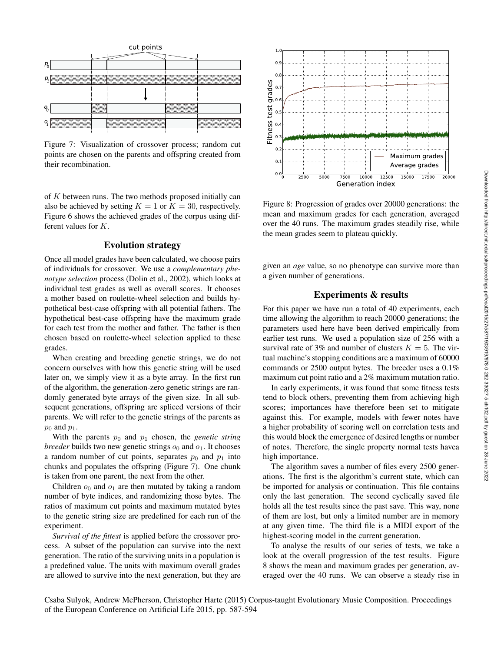

Figure 7: Visualization of crossover process; random cut points are chosen on the parents and offspring created from their recombination.

of K between runs. The two methods proposed initially can also be achieved by setting  $K = 1$  or  $K = 30$ , respectively. Figure 6 shows the achieved grades of the corpus using different values for K.

### Evolution strategy

Once all model grades have been calculated, we choose pairs of individuals for crossover. We use a *complementary phenotype selection* process (Dolin et al., 2002), which looks at individual test grades as well as overall scores. It chooses a mother based on roulette-wheel selection and builds hypothetical best-case offspring with all potential fathers. The hypothetical best-case offspring have the maximum grade for each test from the mother and father. The father is then chosen based on roulette-wheel selection applied to these grades.

When creating and breeding genetic strings, we do not concern ourselves with how this genetic string will be used later on, we simply view it as a byte array. In the first run of the algorithm, the generation-zero genetic strings are randomly generated byte arrays of the given size. In all subsequent generations, offspring are spliced versions of their parents. We will refer to the genetic strings of the parents as  $p_0$  and  $p_1$ .

With the parents  $p_0$  and  $p_1$  chosen, the *genetic string breeder* builds two new genetic strings  $o_0$  and  $o_1$ . It chooses a random number of cut points, separates  $p_0$  and  $p_1$  into chunks and populates the offspring (Figure 7). One chunk is taken from one parent, the next from the other.

Children  $o_0$  and  $o_1$  are then mutated by taking a random number of byte indices, and randomizing those bytes. The ratios of maximum cut points and maximum mutated bytes to the genetic string size are predefined for each run of the experiment.

*Survival of the fittest* is applied before the crossover process. A subset of the population can survive into the next generation. The ratio of the surviving units in a population is a predefined value. The units with maximum overall grades are allowed to survive into the next generation, but they are



Figure 8: Progression of grades over 20000 generations: the mean and maximum grades for each generation, averaged over the 40 runs. The maximum grades steadily rise, while the mean grades seem to plateau quickly.

given an *age* value, so no phenotype can survive more than a given number of generations.

### Experiments & results

For this paper we have run a total of 40 experiments, each time allowing the algorithm to reach 20000 generations; the parameters used here have been derived empirically from earlier test runs. We used a population size of 256 with a survival rate of 3% and number of clusters  $K = 5$ . The virtual machine's stopping conditions are a maximum of 60000 commands or 2500 output bytes. The breeder uses a 0.1% maximum cut point ratio and a 2% maximum mutation ratio.

In early experiments, it was found that some fitness tests tend to block others, preventing them from achieving high scores; importances have therefore been set to mitigate against this. For example, models with fewer notes have a higher probability of scoring well on correlation tests and this would block the emergence of desired lengths or number of notes. Therefore, the single property normal tests havea high importance.

The algorithm saves a number of files every 2500 generations. The first is the algorithm's current state, which can be imported for analysis or continuation. This file contains only the last generation. The second cyclically saved file holds all the test results since the past save. This way, none of them are lost, but only a limited number are in memory at any given time. The third file is a MIDI export of the highest-scoring model in the current generation.

To analyse the results of our series of tests, we take a look at the overall progression of the test results. Figure 8 shows the mean and maximum grades per generation, averaged over the 40 runs. We can observe a steady rise in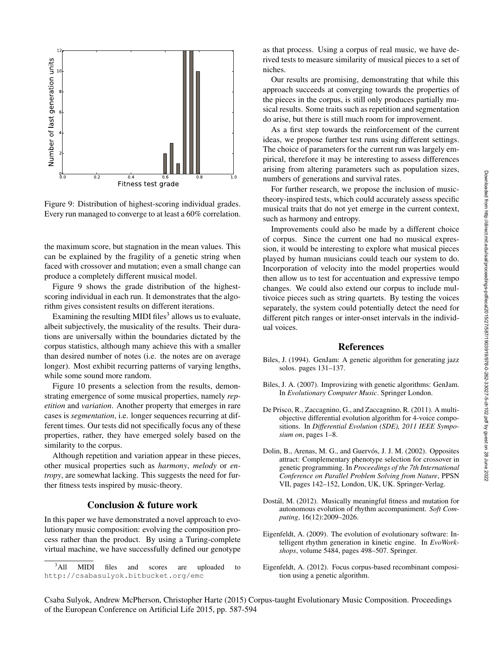

Figure 9: Distribution of highest-scoring individual grades. Every run managed to converge to at least a 60% correlation.

the maximum score, but stagnation in the mean values. This can be explained by the fragility of a genetic string when faced with crossover and mutation; even a small change can produce a completely different musical model.

Figure 9 shows the grade distribution of the highestscoring individual in each run. It demonstrates that the algorithm gives consistent results on different iterations.

Examining the resulting MIDI files<sup>3</sup> allows us to evaluate, albeit subjectively, the musicality of the results. Their durations are universally within the boundaries dictated by the corpus statistics, although many achieve this with a smaller than desired number of notes (i.e. the notes are on average longer). Most exhibit recurring patterns of varying lengths, while some sound more random.

Figure 10 presents a selection from the results, demonstrating emergence of some musical properties, namely *repetition* and *variation*. Another property that emerges in rare cases is *segmentation*, i.e. longer sequences recurring at different times. Our tests did not specifically focus any of these properties, rather, they have emerged solely based on the similarity to the corpus.

Although repetition and variation appear in these pieces, other musical properties such as *harmony*, *melody* or *entropy*, are somewhat lacking. This suggests the need for further fitness tests inspired by music-theory.

### Conclusion & future work

In this paper we have demonstrated a novel approach to evolutionary music composition: evolving the composition process rather than the product. By using a Turing-complete virtual machine, we have successfully defined our genotype

as that process. Using a corpus of real music, we have derived tests to measure similarity of musical pieces to a set of niches.

Our results are promising, demonstrating that while this approach succeeds at converging towards the properties of the pieces in the corpus, is still only produces partially musical results. Some traits such as repetition and segmentation do arise, but there is still much room for improvement.

As a first step towards the reinforcement of the current ideas, we propose further test runs using different settings. The choice of parameters for the current run was largely empirical, therefore it may be interesting to assess differences arising from altering parameters such as population sizes, numbers of generations and survival rates.

For further research, we propose the inclusion of musictheory-inspired tests, which could accurately assess specific musical traits that do not yet emerge in the current context, such as harmony and entropy.

Improvements could also be made by a different choice of corpus. Since the current one had no musical expression, it would be interesting to explore what musical pieces played by human musicians could teach our system to do. Incorporation of velocity into the model properties would then allow us to test for accentuation and expressive tempo changes. We could also extend our corpus to include multivoice pieces such as string quartets. By testing the voices separately, the system could potentially detect the need for different pitch ranges or inter-onset intervals in the individual voices.

#### References

- Biles, J. (1994). GenJam: A genetic algorithm for generating jazz solos. pages 131–137.
- Biles, J. A. (2007). Improvizing with genetic algorithms: GenJam. In *Evolutionary Computer Music*. Springer London.
- De Prisco, R., Zaccagnino, G., and Zaccagnino, R. (2011). A multiobjective differential evolution algorithm for 4-voice compositions. In *Differential Evolution (SDE), 2011 IEEE Symposium on*, pages 1–8.
- Dolin, B., Arenas, M. G., and Guervós, J. J. M. (2002). Opposites attract: Complementary phenotype selection for crossover in genetic programming. In *Proceedings of the 7th International Conference on Parallel Problem Solving from Nature*, PPSN VII, pages 142–152, London, UK, UK. Springer-Verlag.
- Dostál, M. (2012). Musically meaningful fitness and mutation for autonomous evolution of rhythm accompaniment. *Soft Computing*, 16(12):2009–2026.
- Eigenfeldt, A. (2009). The evolution of evolutionary software: Intelligent rhythm generation in kinetic engine. In *EvoWorkshops*, volume 5484, pages 498–507. Springer.
- Eigenfeldt, A. (2012). Focus corpus-based recombinant composition using a genetic algorithm.

 $3$ All All MIDI files and scores are uploaded to http://csabasulyok.bitbucket.org/emc